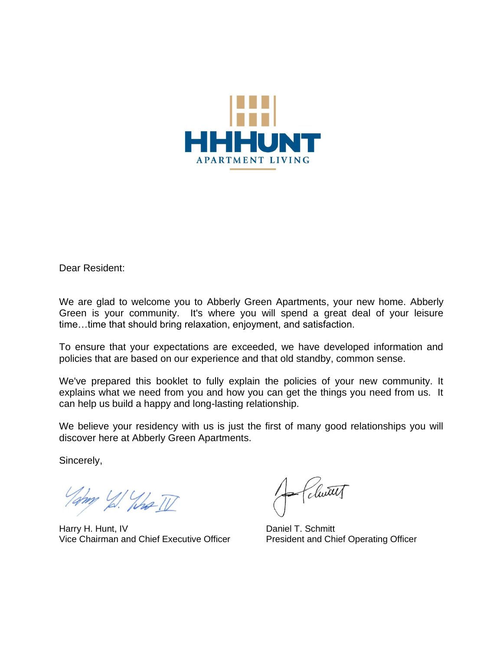

Dear Resident:

We are glad to welcome you to Abberly Green Apartments, your new home. Abberly Green is your community. It's where you will spend a great deal of your leisure time…time that should bring relaxation, enjoyment, and satisfaction.

To ensure that your expectations are exceeded, we have developed information and policies that are based on our experience and that old standby, common sense.

We've prepared this booklet to fully explain the policies of your new community. It explains what we need from you and how you can get the things you need from us. It can help us build a happy and long-lasting relationship.

We believe your residency with us is just the first of many good relationships you will discover here at Abberly Green Apartments.

Sincerely,

Tampy 1/2 What II

Harry H. Hunt, IV<br>Vice Chairman and Chief Executive Officer<br>President and Chief Operating Officer Vice Chairman and Chief Executive Officer

A Clutt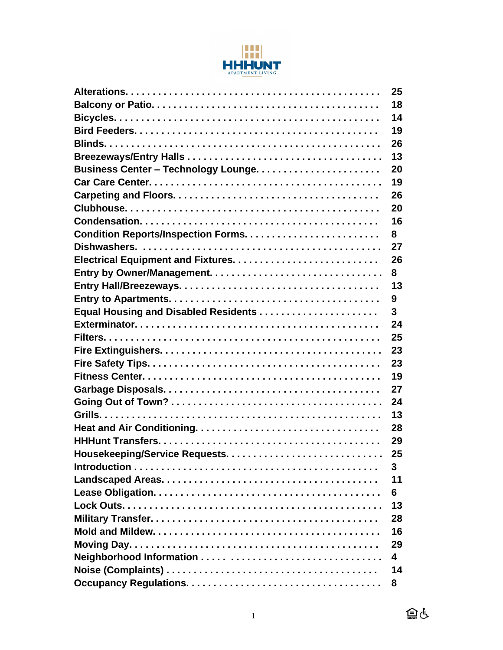

| 25 |
|----|
| 18 |
| 14 |
| 19 |
| 26 |
| 13 |
| 20 |
| 19 |
| 26 |
| 20 |
| 16 |
| 8  |
| 27 |
| 26 |
| 8  |
| 13 |
| 9  |
| 3  |
| 24 |
| 25 |
| 23 |
| 23 |
| 19 |
| 27 |
| 24 |
| 13 |
| 28 |
| 29 |
| 25 |
| 3  |
| 11 |
| 6  |
| 13 |
| 28 |
| 16 |
| 29 |
| 4  |
| 14 |
| 8  |

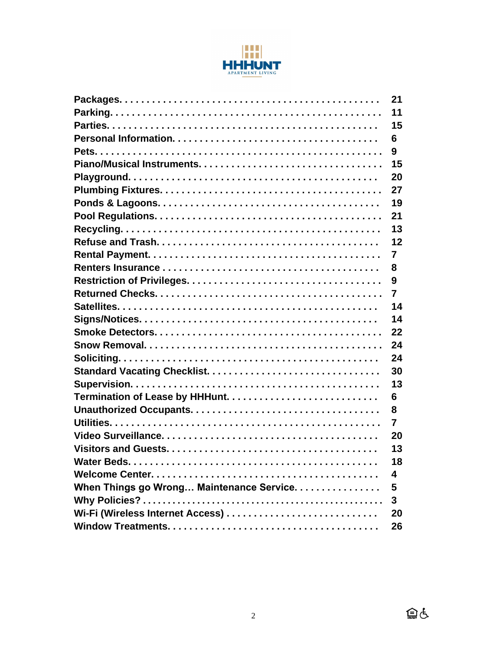

|                                           | 21             |
|-------------------------------------------|----------------|
|                                           | 11             |
|                                           | 15             |
|                                           | 6              |
|                                           | 9              |
|                                           | 15             |
|                                           | 20             |
|                                           | 27             |
|                                           | 19             |
|                                           | 21             |
|                                           | 13             |
|                                           | 12             |
|                                           | 7              |
|                                           | 8              |
|                                           | 9              |
|                                           | $\overline{7}$ |
|                                           | 14             |
|                                           | 14             |
|                                           | 22             |
|                                           | 24             |
|                                           | 24             |
|                                           | 30             |
|                                           | 13             |
|                                           | 6              |
|                                           | 8              |
|                                           | 7              |
|                                           | 20             |
|                                           | 13             |
|                                           | 18             |
|                                           | 4              |
| When Things go Wrong Maintenance Service. | 5              |
|                                           | 3              |
|                                           | 20             |
|                                           | 26             |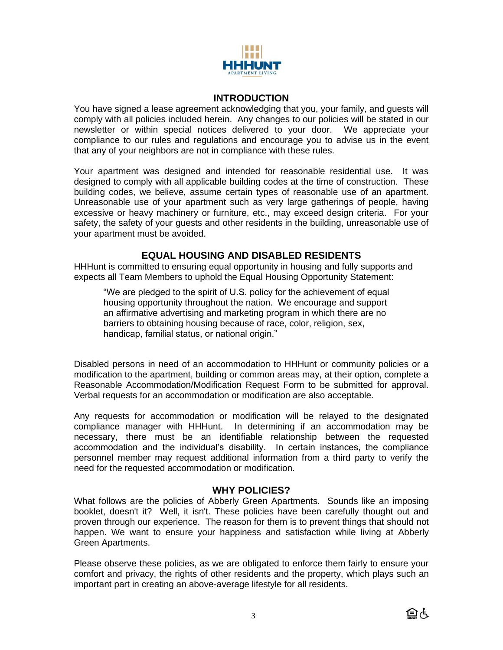

#### **INTRODUCTION**

You have signed a lease agreement acknowledging that you, your family, and guests will comply with all policies included herein. Any changes to our policies will be stated in our newsletter or within special notices delivered to your door. We appreciate your compliance to our rules and regulations and encourage you to advise us in the event that any of your neighbors are not in compliance with these rules.

Your apartment was designed and intended for reasonable residential use. It was designed to comply with all applicable building codes at the time of construction. These building codes, we believe, assume certain types of reasonable use of an apartment. Unreasonable use of your apartment such as very large gatherings of people, having excessive or heavy machinery or furniture, etc., may exceed design criteria. For your safety, the safety of your guests and other residents in the building, unreasonable use of your apartment must be avoided.

#### **EQUAL HOUSING AND DISABLED RESIDENTS**

HHHunt is committed to ensuring equal opportunity in housing and fully supports and expects all Team Members to uphold the Equal Housing Opportunity Statement:

"We are pledged to the spirit of U.S. policy for the achievement of equal housing opportunity throughout the nation. We encourage and support an affirmative advertising and marketing program in which there are no barriers to obtaining housing because of race, color, religion, sex, handicap, familial status, or national origin."

Disabled persons in need of an accommodation to HHHunt or community policies or a modification to the apartment, building or common areas may, at their option, complete a Reasonable Accommodation/Modification Request Form to be submitted for approval. Verbal requests for an accommodation or modification are also acceptable.

Any requests for accommodation or modification will be relayed to the designated compliance manager with HHHunt. In determining if an accommodation may be necessary, there must be an identifiable relationship between the requested accommodation and the individual's disability. In certain instances, the compliance personnel member may request additional information from a third party to verify the need for the requested accommodation or modification.

## **WHY POLICIES?**

What follows are the policies of Abberly Green Apartments. Sounds like an imposing booklet, doesn't it? Well, it isn't. These policies have been carefully thought out and proven through our experience. The reason for them is to prevent things that should not happen. We want to ensure your happiness and satisfaction while living at Abberly Green Apartments.

Please observe these policies, as we are obligated to enforce them fairly to ensure your comfort and privacy, the rights of other residents and the property, which plays such an important part in creating an above-average lifestyle for all residents.

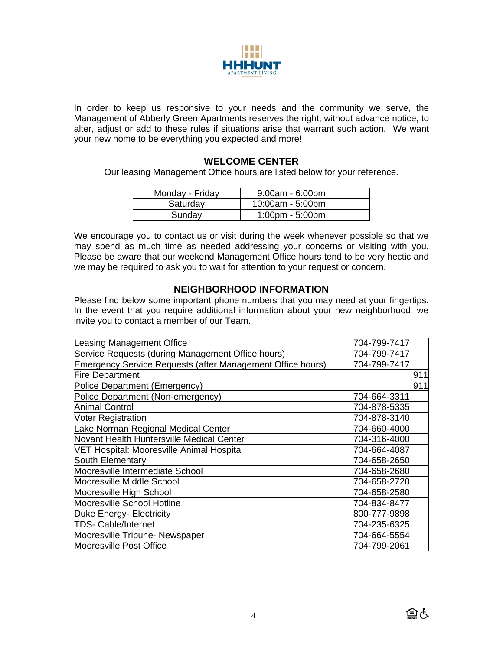

In order to keep us responsive to your needs and the community we serve, the Management of Abberly Green Apartments reserves the right, without advance notice, to alter, adjust or add to these rules if situations arise that warrant such action. We want your new home to be everything you expected and more!

#### **WELCOME CENTER**

Our leasing Management Office hours are listed below for your reference.

| Monday - Friday | $9:00am - 6:00pm$                 |
|-----------------|-----------------------------------|
| Saturday        | 10:00am - 5:00pm                  |
| Sunday          | $1:00 \text{pm} - 5:00 \text{pm}$ |

We encourage you to contact us or visit during the week whenever possible so that we may spend as much time as needed addressing your concerns or visiting with you. Please be aware that our weekend Management Office hours tend to be very hectic and we may be required to ask you to wait for attention to your request or concern.

#### **NEIGHBORHOOD INFORMATION**

Please find below some important phone numbers that you may need at your fingertips. In the event that you require additional information about your new neighborhood, we invite you to contact a member of our Team.

| Leasing Management Office                                  | 704-799-7417 |
|------------------------------------------------------------|--------------|
| Service Requests (during Management Office hours)          | 704-799-7417 |
| Emergency Service Requests (after Management Office hours) | 704-799-7417 |
| <b>Fire Department</b>                                     | 911          |
| Police Department (Emergency)                              | 911          |
| Police Department (Non-emergency)                          | 704-664-3311 |
| Animal Control                                             | 704-878-5335 |
| <b>Voter Registration</b>                                  | 704-878-3140 |
| Lake Norman Regional Medical Center                        | 704-660-4000 |
| Novant Health Huntersville Medical Center                  | 704-316-4000 |
| VET Hospital: Mooresville Animal Hospital                  | 704-664-4087 |
| South Elementary                                           | 704-658-2650 |
| Mooresville Intermediate School                            | 704-658-2680 |
| Mooresville Middle School                                  | 704-658-2720 |
| Mooresville High School                                    | 704-658-2580 |
| Mooresville School Hotline                                 | 704-834-8477 |
| Duke Energy- Electricity                                   | 800-777-9898 |
| <b>TDS- Cable/Internet</b>                                 | 704-235-6325 |
| Mooresville Tribune- Newspaper                             | 704-664-5554 |
| Mooresville Post Office                                    | 704-799-2061 |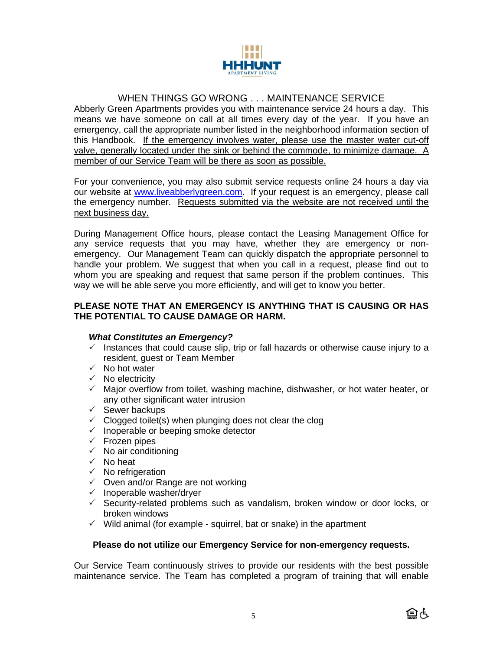

# WHEN THINGS GO WRONG . . . MAINTENANCE SERVICE

Abberly Green Apartments provides you with maintenance service 24 hours a day. This means we have someone on call at all times every day of the year. If you have an emergency, call the appropriate number listed in the neighborhood information section of this Handbook. If the emergency involves water, please use the master water cut-off valve, generally located under the sink or behind the commode, to minimize damage. A member of our Service Team will be there as soon as possible.

For your convenience, you may also submit service requests online 24 hours a day via our website at [www.liveabberlygreen.com.](http://www.liveabberlygreen.com/) If your request is an emergency, please call the emergency number. Requests submitted via the website are not received until the next business day.

During Management Office hours, please contact the Leasing Management Office for any service requests that you may have, whether they are emergency or nonemergency. Our Management Team can quickly dispatch the appropriate personnel to handle your problem. We suggest that when you call in a request, please find out to whom you are speaking and request that same person if the problem continues. This way we will be able serve you more efficiently, and will get to know you better.

#### **PLEASE NOTE THAT AN EMERGENCY IS ANYTHING THAT IS CAUSING OR HAS THE POTENTIAL TO CAUSE DAMAGE OR HARM.**

#### *What Constitutes an Emergency?*

- $\checkmark$  Instances that could cause slip, trip or fall hazards or otherwise cause injury to a resident, guest or Team Member
- $\checkmark$  No hot water
- $\checkmark$  No electricity
- $\checkmark$  Major overflow from toilet, washing machine, dishwasher, or hot water heater, or any other significant water intrusion
- $\checkmark$  Sewer backups
- $\checkmark$  Clogged toilet(s) when plunging does not clear the clog
- $\checkmark$  Inoperable or beeping smoke detector
- $\checkmark$  Frozen pipes
- $\sqrt{\phantom{a}}$  No air conditioning
- $\checkmark$  No heat
- $\checkmark$  No refrigeration
- $\checkmark$  Oven and/or Range are not working
- $\checkmark$  Inoperable washer/drver
- $\checkmark$  Security-related problems such as vandalism, broken window or door locks, or broken windows
- $\checkmark$  Wild animal (for example squirrel, bat or snake) in the apartment

#### **Please do not utilize our Emergency Service for non-emergency requests.**

Our Service Team continuously strives to provide our residents with the best possible maintenance service. The Team has completed a program of training that will enable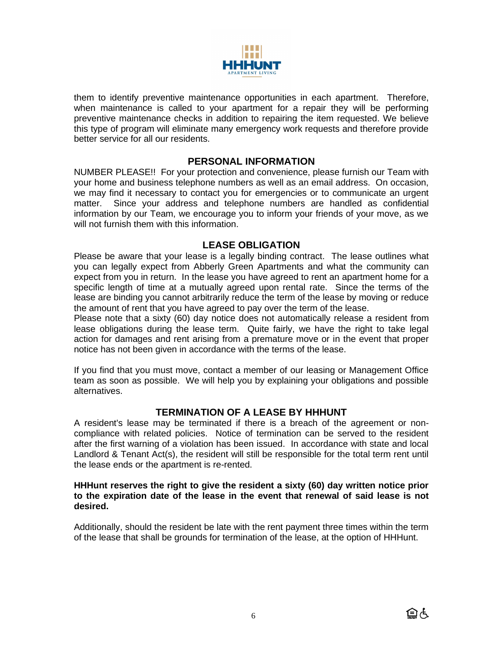

them to identify preventive maintenance opportunities in each apartment. Therefore, when maintenance is called to your apartment for a repair they will be performing preventive maintenance checks in addition to repairing the item requested. We believe this type of program will eliminate many emergency work requests and therefore provide better service for all our residents.

#### **PERSONAL INFORMATION**

NUMBER PLEASE!! For your protection and convenience, please furnish our Team with your home and business telephone numbers as well as an email address. On occasion, we may find it necessary to contact you for emergencies or to communicate an urgent matter. Since your address and telephone numbers are handled as confidential information by our Team, we encourage you to inform your friends of your move, as we will not furnish them with this information.

### **LEASE OBLIGATION**

Please be aware that your lease is a legally binding contract. The lease outlines what you can legally expect from Abberly Green Apartments and what the community can expect from you in return. In the lease you have agreed to rent an apartment home for a specific length of time at a mutually agreed upon rental rate. Since the terms of the lease are binding you cannot arbitrarily reduce the term of the lease by moving or reduce the amount of rent that you have agreed to pay over the term of the lease.

Please note that a sixty (60) day notice does not automatically release a resident from lease obligations during the lease term. Quite fairly, we have the right to take legal action for damages and rent arising from a premature move or in the event that proper notice has not been given in accordance with the terms of the lease.

If you find that you must move, contact a member of our leasing or Management Office team as soon as possible. We will help you by explaining your obligations and possible alternatives.

## **TERMINATION OF A LEASE BY HHHUNT**

A resident's lease may be terminated if there is a breach of the agreement or noncompliance with related policies. Notice of termination can be served to the resident after the first warning of a violation has been issued. In accordance with state and local Landlord & Tenant Act(s), the resident will still be responsible for the total term rent until the lease ends or the apartment is re-rented.

#### **HHHunt reserves the right to give the resident a sixty (60) day written notice prior to the expiration date of the lease in the event that renewal of said lease is not desired.**

Additionally, should the resident be late with the rent payment three times within the term of the lease that shall be grounds for termination of the lease, at the option of HHHunt.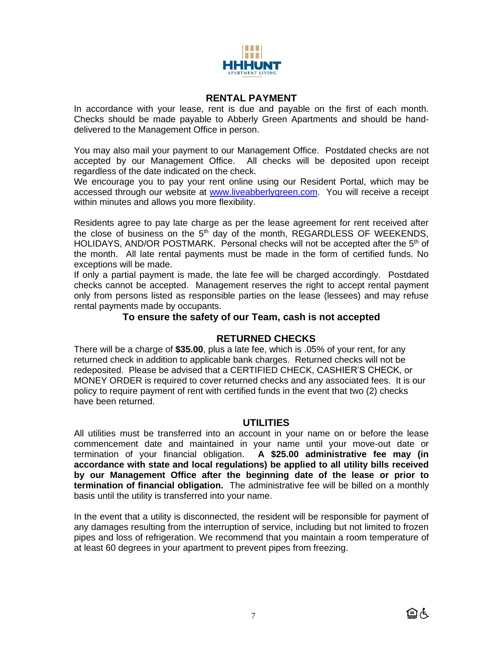

#### **RENTAL PAYMENT**

In accordance with your lease, rent is due and payable on the first of each month. Checks should be made payable to Abberly Green Apartments and should be handdelivered to the Management Office in person.

You may also mail your payment to our Management Office. Postdated checks are not accepted by our Management Office. All checks will be deposited upon receipt regardless of the date indicated on the check.

We encourage you to pay your rent online using our Resident Portal, which may be accessed through our website at [www.liveabberlygreen.com.](http://www.liveabberlygreen.com/) You will receive a receipt within minutes and allows you more flexibility.

Residents agree to pay late charge as per the lease agreement for rent received after the close of business on the  $5<sup>th</sup>$  day of the month, REGARDLESS OF WEEKENDS, HOLIDAYS, AND/OR POSTMARK. Personal checks will not be accepted after the 5<sup>th</sup> of the month. All late rental payments must be made in the form of certified funds. No exceptions will be made.

If only a partial payment is made, the late fee will be charged accordingly. Postdated checks cannot be accepted. Management reserves the right to accept rental payment only from persons listed as responsible parties on the lease (lessees) and may refuse rental payments made by occupants.

#### **To ensure the safety of our Team, cash is not accepted**

#### **RETURNED CHECKS**

There will be a charge of **\$35.00**, plus a late fee, which is .05% of your rent, for any returned check in addition to applicable bank charges. Returned checks will not be redeposited. Please be advised that a CERTIFIED CHECK, CASHIER'S CHECK, or MONEY ORDER is required to cover returned checks and any associated fees. It is our policy to require payment of rent with certified funds in the event that two (2) checks have been returned.

#### **UTILITIES**

All utilities must be transferred into an account in your name on or before the lease commencement date and maintained in your name until your move-out date or termination of your financial obligation. **A \$25.00 administrative fee may (in accordance with state and local regulations) be applied to all utility bills received by our Management Office after the beginning date of the lease or prior to termination of financial obligation.** The administrative fee will be billed on a monthly basis until the utility is transferred into your name.

In the event that a utility is disconnected, the resident will be responsible for payment of any damages resulting from the interruption of service, including but not limited to frozen pipes and loss of refrigeration. We recommend that you maintain a room temperature of at least 60 degrees in your apartment to prevent pipes from freezing.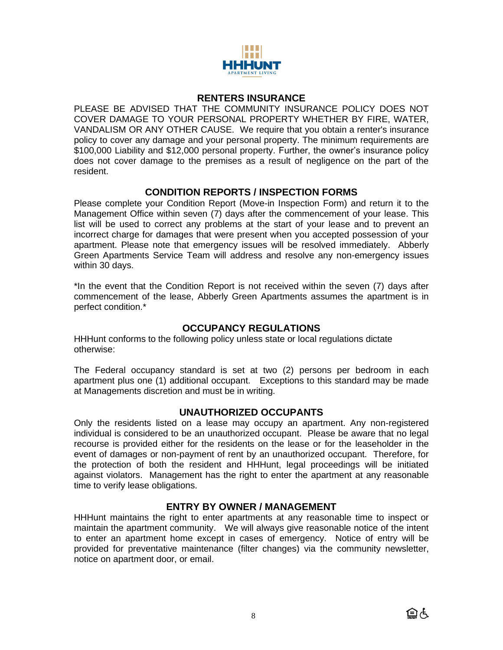

#### **RENTERS INSURANCE**

PLEASE BE ADVISED THAT THE COMMUNITY INSURANCE POLICY DOES NOT COVER DAMAGE TO YOUR PERSONAL PROPERTY WHETHER BY FIRE, WATER, VANDALISM OR ANY OTHER CAUSE. We require that you obtain a renter's insurance policy to cover any damage and your personal property. The minimum requirements are \$100,000 Liability and \$12,000 personal property. Further, the owner's insurance policy does not cover damage to the premises as a result of negligence on the part of the resident.

#### **CONDITION REPORTS / INSPECTION FORMS**

Please complete your Condition Report (Move-in Inspection Form) and return it to the Management Office within seven (7) days after the commencement of your lease. This list will be used to correct any problems at the start of your lease and to prevent an incorrect charge for damages that were present when you accepted possession of your apartment. Please note that emergency issues will be resolved immediately. Abberly Green Apartments Service Team will address and resolve any non-emergency issues within 30 days.

\*In the event that the Condition Report is not received within the seven (7) days after commencement of the lease, Abberly Green Apartments assumes the apartment is in perfect condition.\*

### **OCCUPANCY REGULATIONS**

HHHunt conforms to the following policy unless state or local regulations dictate otherwise:

The Federal occupancy standard is set at two (2) persons per bedroom in each apartment plus one (1) additional occupant. Exceptions to this standard may be made at Managements discretion and must be in writing.

#### **UNAUTHORIZED OCCUPANTS**

Only the residents listed on a lease may occupy an apartment. Any non-registered individual is considered to be an unauthorized occupant. Please be aware that no legal recourse is provided either for the residents on the lease or for the leaseholder in the event of damages or non-payment of rent by an unauthorized occupant. Therefore, for the protection of both the resident and HHHunt, legal proceedings will be initiated against violators. Management has the right to enter the apartment at any reasonable time to verify lease obligations.

## **ENTRY BY OWNER / MANAGEMENT**

HHHunt maintains the right to enter apartments at any reasonable time to inspect or maintain the apartment community. We will always give reasonable notice of the intent to enter an apartment home except in cases of emergency. Notice of entry will be provided for preventative maintenance (filter changes) via the community newsletter, notice on apartment door, or email.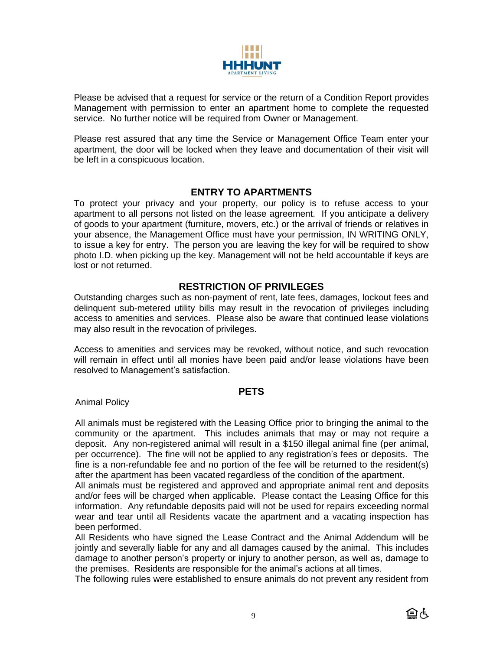

Please be advised that a request for service or the return of a Condition Report provides Management with permission to enter an apartment home to complete the requested service. No further notice will be required from Owner or Management.

Please rest assured that any time the Service or Management Office Team enter your apartment, the door will be locked when they leave and documentation of their visit will be left in a conspicuous location.

### **ENTRY TO APARTMENTS**

To protect your privacy and your property, our policy is to refuse access to your apartment to all persons not listed on the lease agreement. If you anticipate a delivery of goods to your apartment (furniture, movers, etc.) or the arrival of friends or relatives in your absence, the Management Office must have your permission, IN WRITING ONLY, to issue a key for entry. The person you are leaving the key for will be required to show photo I.D. when picking up the key. Management will not be held accountable if keys are lost or not returned.

## **RESTRICTION OF PRIVILEGES**

Outstanding charges such as non-payment of rent, late fees, damages, lockout fees and delinquent sub-metered utility bills may result in the revocation of privileges including access to amenities and services. Please also be aware that continued lease violations may also result in the revocation of privileges.

Access to amenities and services may be revoked, without notice, and such revocation will remain in effect until all monies have been paid and/or lease violations have been resolved to Management's satisfaction.

#### **PETS**

Animal Policy

All animals must be registered with the Leasing Office prior to bringing the animal to the community or the apartment. This includes animals that may or may not require a deposit. Any non-registered animal will result in a \$150 illegal animal fine (per animal, per occurrence). The fine will not be applied to any registration's fees or deposits. The fine is a non-refundable fee and no portion of the fee will be returned to the resident(s) after the apartment has been vacated regardless of the condition of the apartment.

All animals must be registered and approved and appropriate animal rent and deposits and/or fees will be charged when applicable. Please contact the Leasing Office for this information. Any refundable deposits paid will not be used for repairs exceeding normal wear and tear until all Residents vacate the apartment and a vacating inspection has been performed.

All Residents who have signed the Lease Contract and the Animal Addendum will be jointly and severally liable for any and all damages caused by the animal. This includes damage to another person's property or injury to another person, as well as, damage to the premises. Residents are responsible for the animal's actions at all times.

The following rules were established to ensure animals do not prevent any resident from

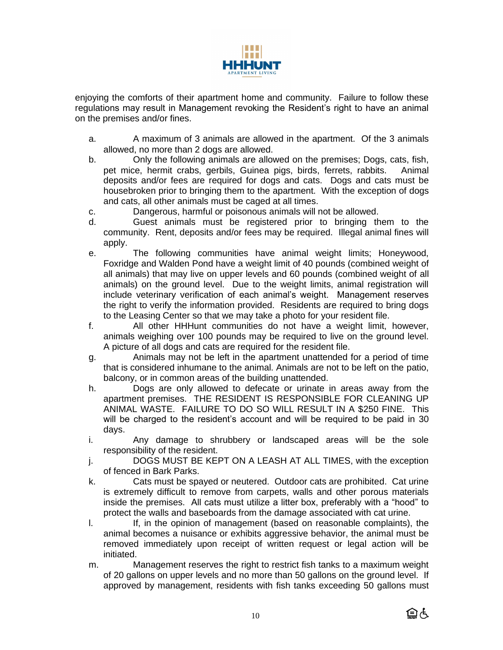

enjoying the comforts of their apartment home and community. Failure to follow these regulations may result in Management revoking the Resident's right to have an animal on the premises and/or fines.

- a. A maximum of 3 animals are allowed in the apartment. Of the 3 animals allowed, no more than 2 dogs are allowed.
- b. Only the following animals are allowed on the premises; Dogs, cats, fish, pet mice, hermit crabs, gerbils, Guinea pigs, birds, ferrets, rabbits. Animal deposits and/or fees are required for dogs and cats. Dogs and cats must be housebroken prior to bringing them to the apartment. With the exception of dogs and cats, all other animals must be caged at all times.
- c. Dangerous, harmful or poisonous animals will not be allowed.
- d. Guest animals must be registered prior to bringing them to the community. Rent, deposits and/or fees may be required. Illegal animal fines will apply.
- e. The following communities have animal weight limits; Honeywood, Foxridge and Walden Pond have a weight limit of 40 pounds (combined weight of all animals) that may live on upper levels and 60 pounds (combined weight of all animals) on the ground level. Due to the weight limits, animal registration will include veterinary verification of each animal's weight. Management reserves the right to verify the information provided. Residents are required to bring dogs to the Leasing Center so that we may take a photo for your resident file.
- f. All other HHHunt communities do not have a weight limit, however, animals weighing over 100 pounds may be required to live on the ground level. A picture of all dogs and cats are required for the resident file.
- g. Animals may not be left in the apartment unattended for a period of time that is considered inhumane to the animal. Animals are not to be left on the patio, balcony, or in common areas of the building unattended.
- h. Dogs are only allowed to defecate or urinate in areas away from the apartment premises. THE RESIDENT IS RESPONSIBLE FOR CLEANING UP ANIMAL WASTE. FAILURE TO DO SO WILL RESULT IN A \$250 FINE. This will be charged to the resident's account and will be required to be paid in 30 days.
- i. Any damage to shrubbery or landscaped areas will be the sole responsibility of the resident.
- j. DOGS MUST BE KEPT ON A LEASH AT ALL TIMES, with the exception of fenced in Bark Parks.
- k. Cats must be spayed or neutered. Outdoor cats are prohibited. Cat urine is extremely difficult to remove from carpets, walls and other porous materials inside the premises. All cats must utilize a litter box, preferably with a "hood" to protect the walls and baseboards from the damage associated with cat urine.
- l. If, in the opinion of management (based on reasonable complaints), the animal becomes a nuisance or exhibits aggressive behavior, the animal must be removed immediately upon receipt of written request or legal action will be initiated.
- m. Management reserves the right to restrict fish tanks to a maximum weight of 20 gallons on upper levels and no more than 50 gallons on the ground level. If approved by management, residents with fish tanks exceeding 50 gallons must

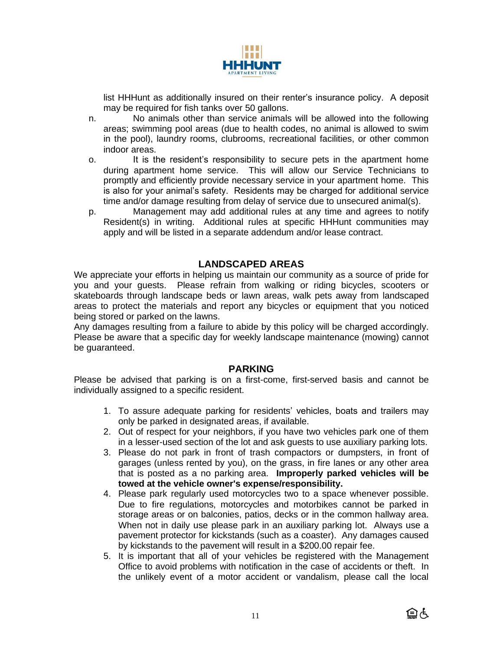

list HHHunt as additionally insured on their renter's insurance policy. A deposit may be required for fish tanks over 50 gallons.

- n. No animals other than service animals will be allowed into the following areas; swimming pool areas (due to health codes, no animal is allowed to swim in the pool), laundry rooms, clubrooms, recreational facilities, or other common indoor areas.
- o. It is the resident's responsibility to secure pets in the apartment home during apartment home service. This will allow our Service Technicians to promptly and efficiently provide necessary service in your apartment home. This is also for your animal's safety. Residents may be charged for additional service time and/or damage resulting from delay of service due to unsecured animal(s).
- p. Management may add additional rules at any time and agrees to notify Resident(s) in writing. Additional rules at specific HHHunt communities may apply and will be listed in a separate addendum and/or lease contract.

## **LANDSCAPED AREAS**

We appreciate your efforts in helping us maintain our community as a source of pride for you and your guests. Please refrain from walking or riding bicycles, scooters or skateboards through landscape beds or lawn areas, walk pets away from landscaped areas to protect the materials and report any bicycles or equipment that you noticed being stored or parked on the lawns.

Any damages resulting from a failure to abide by this policy will be charged accordingly. Please be aware that a specific day for weekly landscape maintenance (mowing) cannot be guaranteed.

#### **PARKING**

Please be advised that parking is on a first-come, first-served basis and cannot be individually assigned to a specific resident.

- 1. To assure adequate parking for residents' vehicles, boats and trailers may only be parked in designated areas, if available.
- 2. Out of respect for your neighbors, if you have two vehicles park one of them in a lesser-used section of the lot and ask guests to use auxiliary parking lots.
- 3. Please do not park in front of trash compactors or dumpsters, in front of garages (unless rented by you), on the grass, in fire lanes or any other area that is posted as a no parking area. **Improperly parked vehicles will be towed at the vehicle owner's expense/responsibility.**
- 4. Please park regularly used motorcycles two to a space whenever possible. Due to fire regulations, motorcycles and motorbikes cannot be parked in storage areas or on balconies, patios, decks or in the common hallway area. When not in daily use please park in an auxiliary parking lot. Always use a pavement protector for kickstands (such as a coaster). Any damages caused by kickstands to the pavement will result in a \$200.00 repair fee.
- 5. It is important that all of your vehicles be registered with the Management Office to avoid problems with notification in the case of accidents or theft. In the unlikely event of a motor accident or vandalism, please call the local

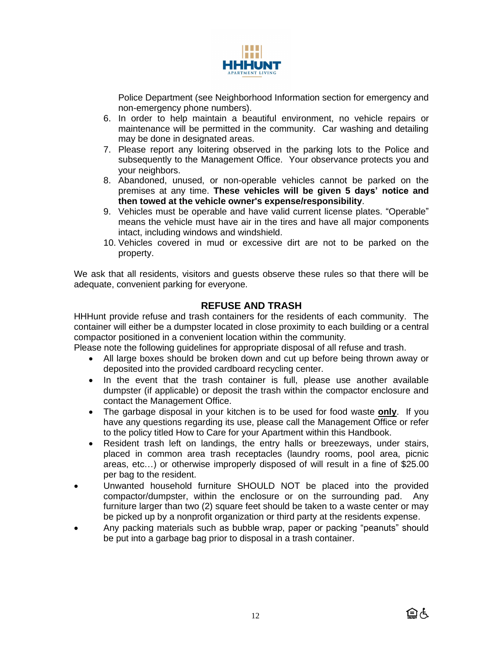

Police Department (see Neighborhood Information section for emergency and non-emergency phone numbers).

- 6. In order to help maintain a beautiful environment, no vehicle repairs or maintenance will be permitted in the community. Car washing and detailing may be done in designated areas.
- 7. Please report any loitering observed in the parking lots to the Police and subsequently to the Management Office. Your observance protects you and your neighbors.
- 8. Abandoned, unused, or non-operable vehicles cannot be parked on the premises at any time. **These vehicles will be given 5 days' notice and then towed at the vehicle owner's expense/responsibility**.
- 9. Vehicles must be operable and have valid current license plates. "Operable" means the vehicle must have air in the tires and have all major components intact, including windows and windshield.
- 10. Vehicles covered in mud or excessive dirt are not to be parked on the property.

We ask that all residents, visitors and guests observe these rules so that there will be adequate, convenient parking for everyone.

### **REFUSE AND TRASH**

HHHunt provide refuse and trash containers for the residents of each community. The container will either be a dumpster located in close proximity to each building or a central compactor positioned in a convenient location within the community.

Please note the following guidelines for appropriate disposal of all refuse and trash.

- All large boxes should be broken down and cut up before being thrown away or deposited into the provided cardboard recycling center.
- In the event that the trash container is full, please use another available dumpster (if applicable) or deposit the trash within the compactor enclosure and contact the Management Office.
- The garbage disposal in your kitchen is to be used for food waste **only**. If you have any questions regarding its use, please call the Management Office or refer to the policy titled How to Care for your Apartment within this Handbook.
- Resident trash left on landings, the entry halls or breezeways, under stairs, placed in common area trash receptacles (laundry rooms, pool area, picnic areas, etc…) or otherwise improperly disposed of will result in a fine of \$25.00 per bag to the resident.
- Unwanted household furniture SHOULD NOT be placed into the provided compactor/dumpster, within the enclosure or on the surrounding pad. Any furniture larger than two (2) square feet should be taken to a waste center or may be picked up by a nonprofit organization or third party at the residents expense.
- Any packing materials such as bubble wrap, paper or packing "peanuts" should be put into a garbage bag prior to disposal in a trash container.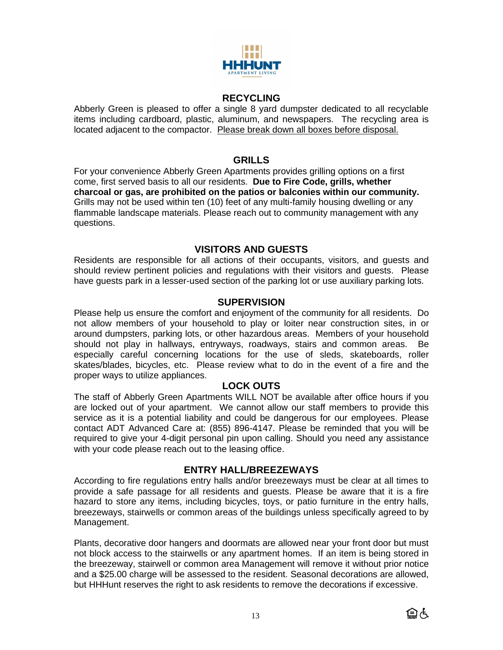

#### **RECYCLING**

Abberly Green is pleased to offer a single 8 yard dumpster dedicated to all recyclable items including cardboard, plastic, aluminum, and newspapers. The recycling area is located adjacent to the compactor. Please break down all boxes before disposal.

## **GRILLS**

For your convenience Abberly Green Apartments provides grilling options on a first come, first served basis to all our residents. **Due to Fire Code, grills, whether charcoal or gas, are prohibited on the patios or balconies within our community.** Grills may not be used within ten (10) feet of any multi-family housing dwelling or any flammable landscape materials. Please reach out to community management with any questions.

## **VISITORS AND GUESTS**

Residents are responsible for all actions of their occupants, visitors, and guests and should review pertinent policies and regulations with their visitors and guests. Please have guests park in a lesser-used section of the parking lot or use auxiliary parking lots.

## **SUPERVISION**

Please help us ensure the comfort and enjoyment of the community for all residents. Do not allow members of your household to play or loiter near construction sites, in or around dumpsters, parking lots, or other hazardous areas. Members of your household should not play in hallways, entryways, roadways, stairs and common areas. Be especially careful concerning locations for the use of sleds, skateboards, roller skates/blades, bicycles, etc. Please review what to do in the event of a fire and the proper ways to utilize appliances.

#### **LOCK OUTS**

The staff of Abberly Green Apartments WILL NOT be available after office hours if you are locked out of your apartment. We cannot allow our staff members to provide this service as it is a potential liability and could be dangerous for our employees. Please contact ADT Advanced Care at: (855) 896-4147. Please be reminded that you will be required to give your 4-digit personal pin upon calling. Should you need any assistance with your code please reach out to the leasing office.

#### **ENTRY HALL/BREEZEWAYS**

According to fire regulations entry halls and/or breezeways must be clear at all times to provide a safe passage for all residents and guests. Please be aware that it is a fire hazard to store any items, including bicycles, toys, or patio furniture in the entry halls, breezeways, stairwells or common areas of the buildings unless specifically agreed to by Management.

Plants, decorative door hangers and doormats are allowed near your front door but must not block access to the stairwells or any apartment homes. If an item is being stored in the breezeway, stairwell or common area Management will remove it without prior notice and a \$25.00 charge will be assessed to the resident. Seasonal decorations are allowed, but HHHunt reserves the right to ask residents to remove the decorations if excessive.

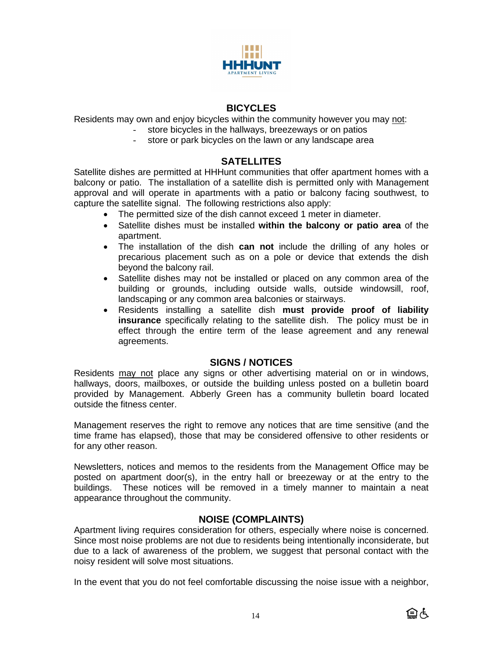

## **BICYCLES**

Residents may own and enjoy bicycles within the community however you may not:

- store bicycles in the hallways, breezeways or on patios
	- store or park bicycles on the lawn or any landscape area

## **SATELLITES**

Satellite dishes are permitted at HHHunt communities that offer apartment homes with a balcony or patio. The installation of a satellite dish is permitted only with Management approval and will operate in apartments with a patio or balcony facing southwest, to capture the satellite signal. The following restrictions also apply:

- The permitted size of the dish cannot exceed 1 meter in diameter.
- Satellite dishes must be installed **within the balcony or patio area** of the apartment.
- The installation of the dish **can not** include the drilling of any holes or precarious placement such as on a pole or device that extends the dish beyond the balcony rail.
- Satellite dishes may not be installed or placed on any common area of the building or grounds, including outside walls, outside windowsill, roof, landscaping or any common area balconies or stairways.
- Residents installing a satellite dish **must provide proof of liability insurance** specifically relating to the satellite dish. The policy must be in effect through the entire term of the lease agreement and any renewal agreements.

#### **SIGNS / NOTICES**

Residents may not place any signs or other advertising material on or in windows, hallways, doors, mailboxes, or outside the building unless posted on a bulletin board provided by Management. Abberly Green has a community bulletin board located outside the fitness center.

Management reserves the right to remove any notices that are time sensitive (and the time frame has elapsed), those that may be considered offensive to other residents or for any other reason.

Newsletters, notices and memos to the residents from the Management Office may be posted on apartment door(s), in the entry hall or breezeway or at the entry to the buildings. These notices will be removed in a timely manner to maintain a neat appearance throughout the community.

# **NOISE (COMPLAINTS)**

Apartment living requires consideration for others, especially where noise is concerned. Since most noise problems are not due to residents being intentionally inconsiderate, but due to a lack of awareness of the problem, we suggest that personal contact with the noisy resident will solve most situations.

In the event that you do not feel comfortable discussing the noise issue with a neighbor,

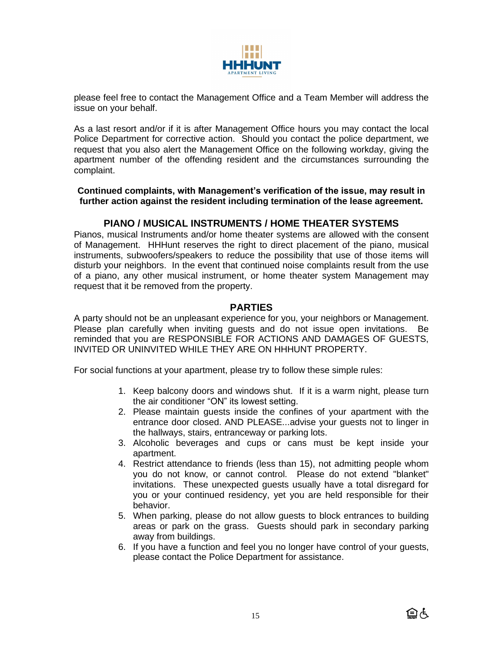

please feel free to contact the Management Office and a Team Member will address the issue on your behalf.

As a last resort and/or if it is after Management Office hours you may contact the local Police Department for corrective action. Should you contact the police department, we request that you also alert the Management Office on the following workday, giving the apartment number of the offending resident and the circumstances surrounding the complaint.

**Continued complaints, with Management's verification of the issue, may result in further action against the resident including termination of the lease agreement.**

#### **PIANO / MUSICAL INSTRUMENTS / HOME THEATER SYSTEMS**

Pianos, musical Instruments and/or home theater systems are allowed with the consent of Management. HHHunt reserves the right to direct placement of the piano, musical instruments, subwoofers/speakers to reduce the possibility that use of those items will disturb your neighbors. In the event that continued noise complaints result from the use of a piano, any other musical instrument, or home theater system Management may request that it be removed from the property.

#### **PARTIES**

A party should not be an unpleasant experience for you, your neighbors or Management. Please plan carefully when inviting guests and do not issue open invitations. Be reminded that you are RESPONSIBLE FOR ACTIONS AND DAMAGES OF GUESTS, INVITED OR UNINVITED WHILE THEY ARE ON HHHUNT PROPERTY.

For social functions at your apartment, please try to follow these simple rules:

- 1. Keep balcony doors and windows shut. If it is a warm night, please turn the air conditioner "ON" its lowest setting.
- 2. Please maintain guests inside the confines of your apartment with the entrance door closed. AND PLEASE...advise your guests not to linger in the hallways, stairs, entranceway or parking lots.
- 3. Alcoholic beverages and cups or cans must be kept inside your apartment.
- 4. Restrict attendance to friends (less than 15), not admitting people whom you do not know, or cannot control. Please do not extend "blanket" invitations. These unexpected guests usually have a total disregard for you or your continued residency, yet you are held responsible for their behavior.
- 5. When parking, please do not allow guests to block entrances to building areas or park on the grass. Guests should park in secondary parking away from buildings.
- 6. If you have a function and feel you no longer have control of your guests, please contact the Police Department for assistance.

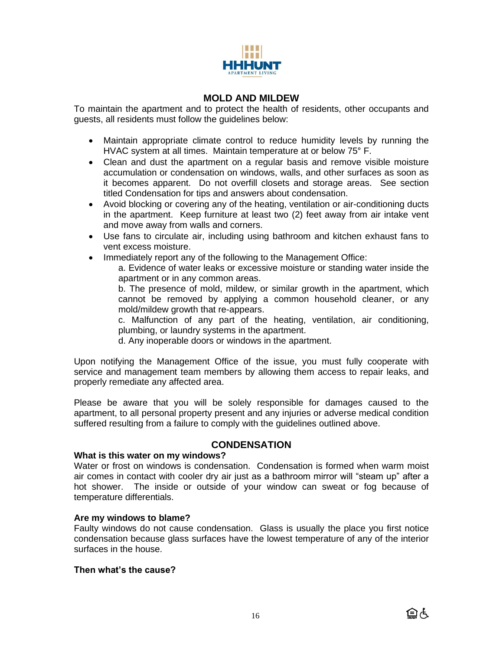

### **MOLD AND MILDEW**

To maintain the apartment and to protect the health of residents, other occupants and guests, all residents must follow the guidelines below:

- Maintain appropriate climate control to reduce humidity levels by running the HVAC system at all times. Maintain temperature at or below 75° F.
- Clean and dust the apartment on a regular basis and remove visible moisture accumulation or condensation on windows, walls, and other surfaces as soon as it becomes apparent. Do not overfill closets and storage areas. See section titled Condensation for tips and answers about condensation.
- Avoid blocking or covering any of the heating, ventilation or air-conditioning ducts in the apartment. Keep furniture at least two (2) feet away from air intake vent and move away from walls and corners.
- Use fans to circulate air, including using bathroom and kitchen exhaust fans to vent excess moisture.
- Immediately report any of the following to the Management Office:

a. Evidence of water leaks or excessive moisture or standing water inside the apartment or in any common areas.

b. The presence of mold, mildew, or similar growth in the apartment, which cannot be removed by applying a common household cleaner, or any mold/mildew growth that re-appears.

c. Malfunction of any part of the heating, ventilation, air conditioning, plumbing, or laundry systems in the apartment.

d. Any inoperable doors or windows in the apartment.

Upon notifying the Management Office of the issue, you must fully cooperate with service and management team members by allowing them access to repair leaks, and properly remediate any affected area.

Please be aware that you will be solely responsible for damages caused to the apartment, to all personal property present and any injuries or adverse medical condition suffered resulting from a failure to comply with the guidelines outlined above.

#### **CONDENSATION**

#### **What is this water on my windows?**

Water or frost on windows is condensation. Condensation is formed when warm moist air comes in contact with cooler dry air just as a bathroom mirror will "steam up" after a hot shower. The inside or outside of your window can sweat or fog because of temperature differentials.

#### **Are my windows to blame?**

Faulty windows do not cause condensation. Glass is usually the place you first notice condensation because glass surfaces have the lowest temperature of any of the interior surfaces in the house.

#### **Then what's the cause?**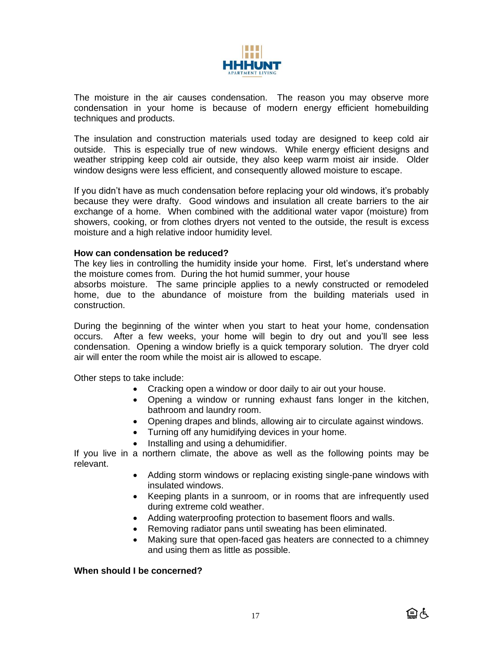

The moisture in the air causes condensation. The reason you may observe more condensation in your home is because of modern energy efficient homebuilding techniques and products.

The insulation and construction materials used today are designed to keep cold air outside. This is especially true of new windows. While energy efficient designs and weather stripping keep cold air outside, they also keep warm moist air inside. Older window designs were less efficient, and consequently allowed moisture to escape.

If you didn't have as much condensation before replacing your old windows, it's probably because they were drafty. Good windows and insulation all create barriers to the air exchange of a home. When combined with the additional water vapor (moisture) from showers, cooking, or from clothes dryers not vented to the outside, the result is excess moisture and a high relative indoor humidity level.

#### **How can condensation be reduced?**

The key lies in controlling the humidity inside your home. First, let's understand where the moisture comes from. During the hot humid summer, your house

absorbs moisture. The same principle applies to a newly constructed or remodeled home, due to the abundance of moisture from the building materials used in construction.

During the beginning of the winter when you start to heat your home, condensation occurs. After a few weeks, your home will begin to dry out and you'll see less condensation. Opening a window briefly is a quick temporary solution. The dryer cold air will enter the room while the moist air is allowed to escape.

Other steps to take include:

- Cracking open a window or door daily to air out your house.
- Opening a window or running exhaust fans longer in the kitchen, bathroom and laundry room.
- Opening drapes and blinds, allowing air to circulate against windows.
- Turning off any humidifying devices in your home.
- Installing and using a dehumidifier.

If you live in a northern climate, the above as well as the following points may be relevant.

- Adding storm windows or replacing existing single-pane windows with insulated windows.
- Keeping plants in a sunroom, or in rooms that are infrequently used during extreme cold weather.
- Adding waterproofing protection to basement floors and walls.
- Removing radiator pans until sweating has been eliminated.
- Making sure that open-faced gas heaters are connected to a chimney and using them as little as possible.

#### **When should I be concerned?**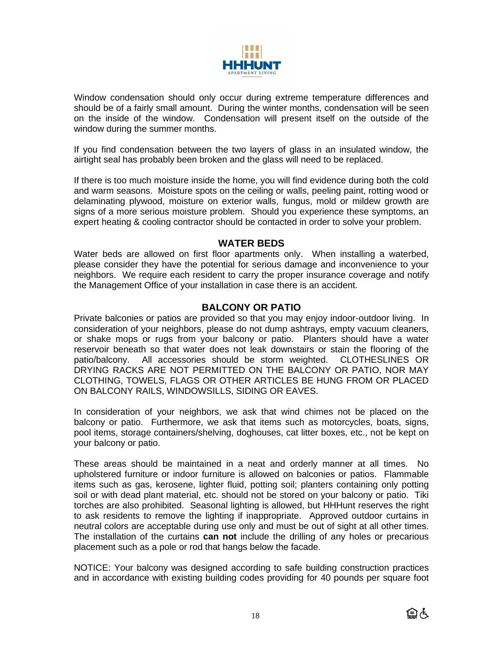

Window condensation should only occur during extreme temperature differences and should be of a fairly small amount. During the winter months, condensation will be seen on the inside of the window. Condensation will present itself on the outside of the window during the summer months.

If you find condensation between the two layers of glass in an insulated window, the airtight seal has probably been broken and the glass will need to be replaced.

If there is too much moisture inside the home, you will find evidence during both the cold and warm seasons. Moisture spots on the ceiling or walls, peeling paint, rotting wood or delaminating plywood, moisture on exterior walls, fungus, mold or mildew growth are signs of a more serious moisture problem. Should you experience these symptoms, an expert heating & cooling contractor should be contacted in order to solve your problem.

#### **WATER BEDS**

Water beds are allowed on first floor apartments only. When installing a waterbed, please consider they have the potential for serious damage and inconvenience to your neighbors. We require each resident to carry the proper insurance coverage and notify the Management Office of your installation in case there is an accident.

### **BALCONY OR PATIO**

Private balconies or patios are provided so that you may enjoy indoor-outdoor living. In consideration of your neighbors, please do not dump ashtrays, empty vacuum cleaners, or shake mops or rugs from your balcony or patio. Planters should have a water reservoir beneath so that water does not leak downstairs or stain the flooring of the patio/balcony. All accessories should be storm weighted. CLOTHESLINES OR DRYING RACKS ARE NOT PERMITTED ON THE BALCONY OR PATIO, NOR MAY CLOTHING, TOWELS, FLAGS OR OTHER ARTICLES BE HUNG FROM OR PLACED ON BALCONY RAILS, WINDOWSILLS, SIDING OR EAVES.

In consideration of your neighbors, we ask that wind chimes not be placed on the balcony or patio. Furthermore, we ask that items such as motorcycles, boats, signs, pool items, storage containers/shelving, doghouses, cat litter boxes, etc., not be kept on your balcony or patio.

These areas should be maintained in a neat and orderly manner at all times. No upholstered furniture or indoor furniture is allowed on balconies or patios. Flammable items such as gas, kerosene, lighter fluid, potting soil; planters containing only potting soil or with dead plant material, etc. should not be stored on your balcony or patio. Tiki torches are also prohibited. Seasonal lighting is allowed, but HHHunt reserves the right to ask residents to remove the lighting if inappropriate. Approved outdoor curtains in neutral colors are acceptable during use only and must be out of sight at all other times. The installation of the curtains **can not** include the drilling of any holes or precarious placement such as a pole or rod that hangs below the facade.

NOTICE: Your balcony was designed according to safe building construction practices and in accordance with existing building codes providing for 40 pounds per square foot

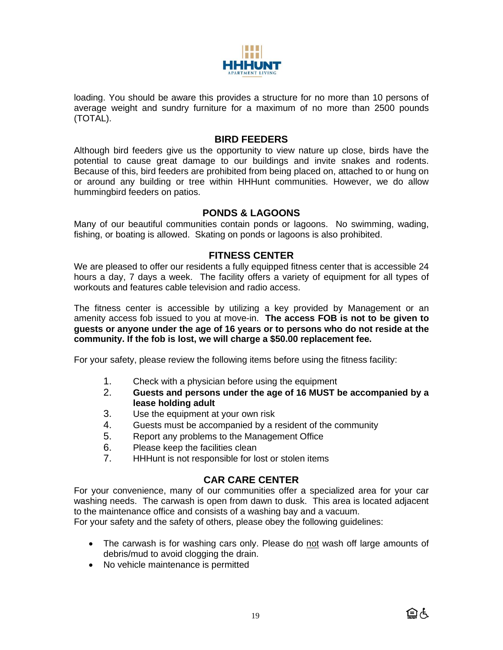

loading. You should be aware this provides a structure for no more than 10 persons of average weight and sundry furniture for a maximum of no more than 2500 pounds (TOTAL).

#### **BIRD FEEDERS**

Although bird feeders give us the opportunity to view nature up close, birds have the potential to cause great damage to our buildings and invite snakes and rodents. Because of this, bird feeders are prohibited from being placed on, attached to or hung on or around any building or tree within HHHunt communities. However, we do allow hummingbird feeders on patios.

### **PONDS & LAGOONS**

Many of our beautiful communities contain ponds or lagoons. No swimming, wading, fishing, or boating is allowed. Skating on ponds or lagoons is also prohibited.

#### **FITNESS CENTER**

We are pleased to offer our residents a fully equipped fitness center that is accessible 24 hours a day, 7 days a week. The facility offers a variety of equipment for all types of workouts and features cable television and radio access.

The fitness center is accessible by utilizing a key provided by Management or an amenity access fob issued to you at move-in. **The access FOB is not to be given to guests or anyone under the age of 16 years or to persons who do not reside at the community. If the fob is lost, we will charge a \$50.00 replacement fee.**

For your safety, please review the following items before using the fitness facility:

- 1. Check with a physician before using the equipment
- 2. **Guests and persons under the age of 16 MUST be accompanied by a lease holding adult**
- 3. Use the equipment at your own risk
- 4. Guests must be accompanied by a resident of the community
- 5. Report any problems to the Management Office
- 6. Please keep the facilities clean
- 7. HHHunt is not responsible for lost or stolen items

## **CAR CARE CENTER**

For your convenience, many of our communities offer a specialized area for your car washing needs. The carwash is open from dawn to dusk. This area is located adjacent to the maintenance office and consists of a washing bay and a vacuum.

For your safety and the safety of others, please obey the following guidelines:

- The carwash is for washing cars only. Please do not wash off large amounts of debris/mud to avoid clogging the drain.
- No vehicle maintenance is permitted

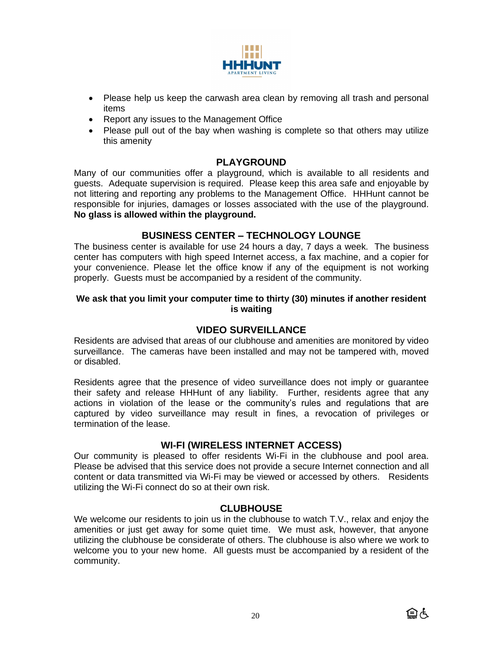

- Please help us keep the carwash area clean by removing all trash and personal items
- Report any issues to the Management Office
- Please pull out of the bay when washing is complete so that others may utilize this amenity

#### **PLAYGROUND**

Many of our communities offer a playground, which is available to all residents and guests. Adequate supervision is required. Please keep this area safe and enjoyable by not littering and reporting any problems to the Management Office. HHHunt cannot be responsible for injuries, damages or losses associated with the use of the playground. **No glass is allowed within the playground.**

## **BUSINESS CENTER – TECHNOLOGY LOUNGE**

The business center is available for use 24 hours a day, 7 days a week. The business center has computers with high speed Internet access, a fax machine, and a copier for your convenience. Please let the office know if any of the equipment is not working properly. Guests must be accompanied by a resident of the community.

#### **We ask that you limit your computer time to thirty (30) minutes if another resident is waiting**

### **VIDEO SURVEILLANCE**

Residents are advised that areas of our clubhouse and amenities are monitored by video surveillance. The cameras have been installed and may not be tampered with, moved or disabled.

Residents agree that the presence of video surveillance does not imply or guarantee their safety and release HHHunt of any liability. Further, residents agree that any actions in violation of the lease or the community's rules and regulations that are captured by video surveillance may result in fines, a revocation of privileges or termination of the lease.

#### **WI-FI (WIRELESS INTERNET ACCESS)**

Our community is pleased to offer residents Wi-Fi in the clubhouse and pool area. Please be advised that this service does not provide a secure Internet connection and all content or data transmitted via Wi-Fi may be viewed or accessed by others. Residents utilizing the Wi-Fi connect do so at their own risk.

#### **CLUBHOUSE**

We welcome our residents to join us in the clubhouse to watch T.V., relax and enjoy the amenities or just get away for some quiet time. We must ask, however, that anyone utilizing the clubhouse be considerate of others. The clubhouse is also where we work to welcome you to your new home. All guests must be accompanied by a resident of the community.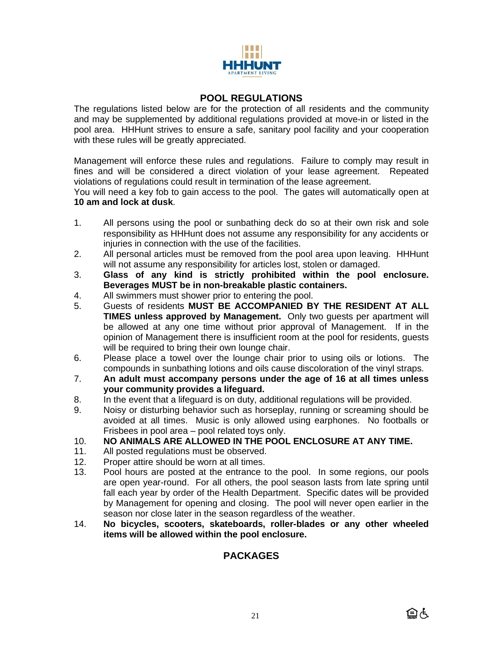

## **POOL REGULATIONS**

The regulations listed below are for the protection of all residents and the community and may be supplemented by additional regulations provided at move-in or listed in the pool area. HHHunt strives to ensure a safe, sanitary pool facility and your cooperation with these rules will be greatly appreciated.

Management will enforce these rules and regulations. Failure to comply may result in fines and will be considered a direct violation of your lease agreement. Repeated violations of regulations could result in termination of the lease agreement.

You will need a key fob to gain access to the pool. The gates will automatically open at **10 am and lock at dusk**.

- 1. All persons using the pool or sunbathing deck do so at their own risk and sole responsibility as HHHunt does not assume any responsibility for any accidents or injuries in connection with the use of the facilities.
- 2. All personal articles must be removed from the pool area upon leaving. HHHunt will not assume any responsibility for articles lost, stolen or damaged.
- 3. **Glass of any kind is strictly prohibited within the pool enclosure. Beverages MUST be in non-breakable plastic containers.**
- 4. All swimmers must shower prior to entering the pool.
- 5. Guests of residents **MUST BE ACCOMPANIED BY THE RESIDENT AT ALL TIMES unless approved by Management.** Only two guests per apartment will be allowed at any one time without prior approval of Management. If in the opinion of Management there is insufficient room at the pool for residents, guests will be required to bring their own lounge chair.
- 6. Please place a towel over the lounge chair prior to using oils or lotions. The compounds in sunbathing lotions and oils cause discoloration of the vinyl straps.
- 7. **An adult must accompany persons under the age of 16 at all times unless your community provides a lifeguard.**
- 8. In the event that a lifeguard is on duty, additional regulations will be provided.
- 9. Noisy or disturbing behavior such as horseplay, running or screaming should be avoided at all times. Music is only allowed using earphones. No footballs or Frisbees in pool area – pool related toys only.

### 10. **NO ANIMALS ARE ALLOWED IN THE POOL ENCLOSURE AT ANY TIME.**

- 11. All posted regulations must be observed.
- 12. Proper attire should be worn at all times.
- 13. Pool hours are posted at the entrance to the pool. In some regions, our pools are open year-round. For all others, the pool season lasts from late spring until fall each year by order of the Health Department. Specific dates will be provided by Management for opening and closing. The pool will never open earlier in the season nor close later in the season regardless of the weather.
- 14. **No bicycles, scooters, skateboards, roller-blades or any other wheeled items will be allowed within the pool enclosure.**

# **PACKAGES**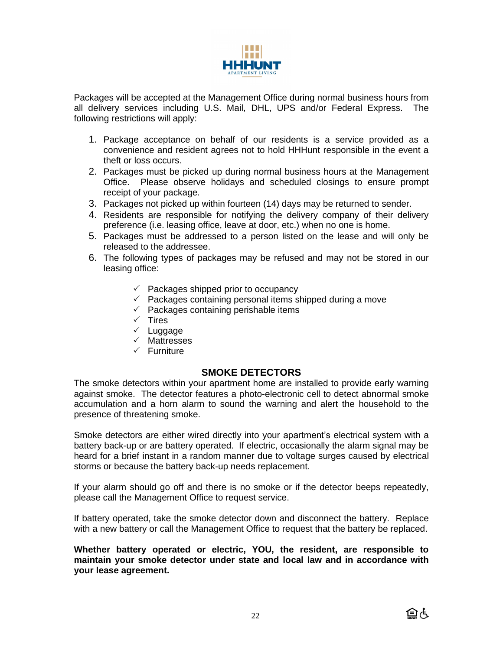

Packages will be accepted at the Management Office during normal business hours from all delivery services including U.S. Mail, DHL, UPS and/or Federal Express. The following restrictions will apply:

- 1. Package acceptance on behalf of our residents is a service provided as a convenience and resident agrees not to hold HHHunt responsible in the event a theft or loss occurs.
- 2. Packages must be picked up during normal business hours at the Management Office. Please observe holidays and scheduled closings to ensure prompt receipt of your package.
- 3. Packages not picked up within fourteen (14) days may be returned to sender.
- 4. Residents are responsible for notifying the delivery company of their delivery preference (i.e. leasing office, leave at door, etc.) when no one is home.
- 5. Packages must be addressed to a person listed on the lease and will only be released to the addressee.
- 6. The following types of packages may be refused and may not be stored in our leasing office:
	- $\checkmark$  Packages shipped prior to occupancy
	- $\checkmark$  Packages containing personal items shipped during a move
	- $\checkmark$  Packages containing perishable items
	- $\times$  Tires
	- $\checkmark$  Luggage
	- $\checkmark$  Mattresses
	- $\checkmark$  Furniture

#### **SMOKE DETECTORS**

The smoke detectors within your apartment home are installed to provide early warning against smoke. The detector features a photo-electronic cell to detect abnormal smoke accumulation and a horn alarm to sound the warning and alert the household to the presence of threatening smoke.

Smoke detectors are either wired directly into your apartment's electrical system with a battery back-up or are battery operated. If electric, occasionally the alarm signal may be heard for a brief instant in a random manner due to voltage surges caused by electrical storms or because the battery back-up needs replacement.

If your alarm should go off and there is no smoke or if the detector beeps repeatedly, please call the Management Office to request service.

If battery operated, take the smoke detector down and disconnect the battery. Replace with a new battery or call the Management Office to request that the battery be replaced.

**Whether battery operated or electric, YOU, the resident, are responsible to maintain your smoke detector under state and local law and in accordance with your lease agreement.**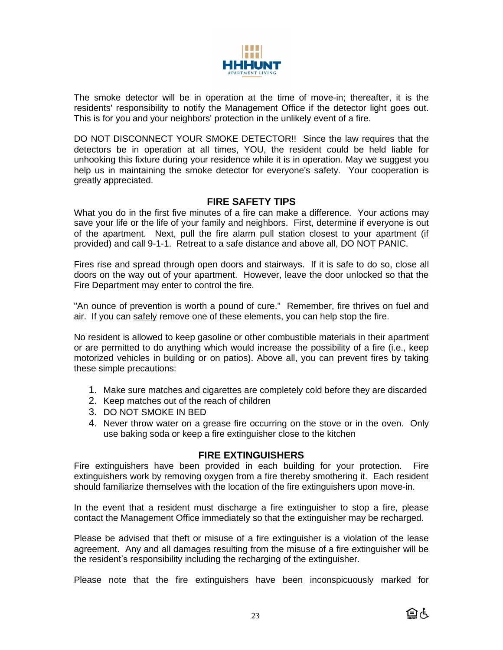

The smoke detector will be in operation at the time of move-in; thereafter, it is the residents' responsibility to notify the Management Office if the detector light goes out. This is for you and your neighbors' protection in the unlikely event of a fire.

DO NOT DISCONNECT YOUR SMOKE DETECTOR!! Since the law requires that the detectors be in operation at all times, YOU, the resident could be held liable for unhooking this fixture during your residence while it is in operation. May we suggest you help us in maintaining the smoke detector for everyone's safety. Your cooperation is greatly appreciated.

## **FIRE SAFETY TIPS**

What you do in the first five minutes of a fire can make a difference. Your actions may save your life or the life of your family and neighbors. First, determine if everyone is out of the apartment. Next, pull the fire alarm pull station closest to your apartment (if provided) and call 9-1-1. Retreat to a safe distance and above all, DO NOT PANIC.

Fires rise and spread through open doors and stairways. If it is safe to do so, close all doors on the way out of your apartment. However, leave the door unlocked so that the Fire Department may enter to control the fire.

"An ounce of prevention is worth a pound of cure." Remember, fire thrives on fuel and air. If you can safely remove one of these elements, you can help stop the fire.

No resident is allowed to keep gasoline or other combustible materials in their apartment or are permitted to do anything which would increase the possibility of a fire (i.e., keep motorized vehicles in building or on patios). Above all, you can prevent fires by taking these simple precautions:

- 1. Make sure matches and cigarettes are completely cold before they are discarded
- 2. Keep matches out of the reach of children
- 3. DO NOT SMOKE IN BED
- 4. Never throw water on a grease fire occurring on the stove or in the oven. Only use baking soda or keep a fire extinguisher close to the kitchen

#### **FIRE EXTINGUISHERS**

Fire extinguishers have been provided in each building for your protection. Fire extinguishers work by removing oxygen from a fire thereby smothering it. Each resident should familiarize themselves with the location of the fire extinguishers upon move-in.

In the event that a resident must discharge a fire extinguisher to stop a fire, please contact the Management Office immediately so that the extinguisher may be recharged.

Please be advised that theft or misuse of a fire extinguisher is a violation of the lease agreement. Any and all damages resulting from the misuse of a fire extinguisher will be the resident's responsibility including the recharging of the extinguisher.

Please note that the fire extinguishers have been inconspicuously marked for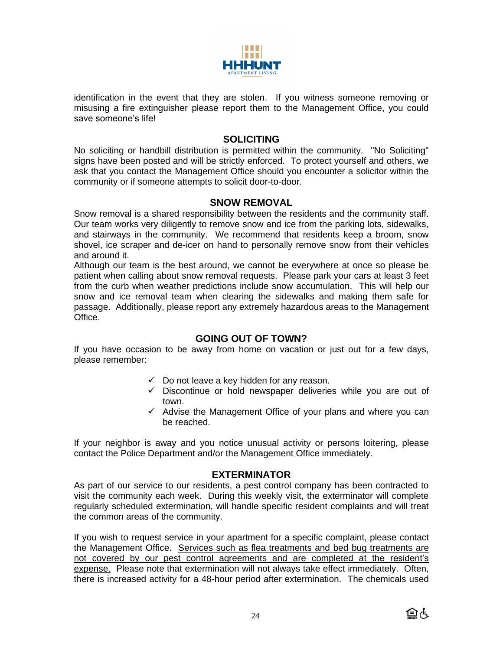

identification in the event that they are stolen. If you witness someone removing or misusing a fire extinguisher please report them to the Management Office, you could save someone's life!

#### **SOLICITING**

No soliciting or handbill distribution is permitted within the community. "No Soliciting" signs have been posted and will be strictly enforced. To protect yourself and others, we ask that you contact the Management Office should you encounter a solicitor within the community or if someone attempts to solicit door-to-door.

#### **SNOW REMOVAL**

Snow removal is a shared responsibility between the residents and the community staff. Our team works very diligently to remove snow and ice from the parking lots, sidewalks, and stairways in the community. We recommend that residents keep a broom, snow shovel, ice scraper and de-icer on hand to personally remove snow from their vehicles and around it.

Although our team is the best around, we cannot be everywhere at once so please be patient when calling about snow removal requests. Please park your cars at least 3 feet from the curb when weather predictions include snow accumulation. This will help our snow and ice removal team when clearing the sidewalks and making them safe for passage. Additionally, please report any extremely hazardous areas to the Management Office.

#### **GOING OUT OF TOWN?**

If you have occasion to be away from home on vacation or just out for a few days, please remember:

- $\checkmark$  Do not leave a key hidden for any reason.
- $\checkmark$  Discontinue or hold newspaper deliveries while you are out of town.
- ✓ Advise the Management Office of your plans and where you can be reached.

If your neighbor is away and you notice unusual activity or persons loitering, please contact the Police Department and/or the Management Office immediately.

#### **EXTERMINATOR**

As part of our service to our residents, a pest control company has been contracted to visit the community each week. During this weekly visit, the exterminator will complete regularly scheduled extermination, will handle specific resident complaints and will treat the common areas of the community.

If you wish to request service in your apartment for a specific complaint, please contact the Management Office. Services such as flea treatments and bed bug treatments are not covered by our pest control agreements and are completed at the resident's expense. Please note that extermination will not always take effect immediately. Often, there is increased activity for a 48-hour period after extermination. The chemicals used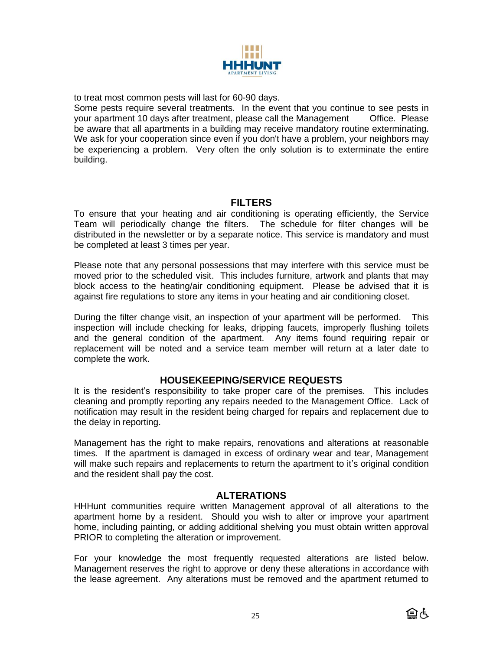

to treat most common pests will last for 60-90 days.

Some pests require several treatments. In the event that you continue to see pests in your apartment 10 days after treatment, please call the Management Office. Please be aware that all apartments in a building may receive mandatory routine exterminating. We ask for your cooperation since even if you don't have a problem, your neighbors may be experiencing a problem. Very often the only solution is to exterminate the entire building.

# **FILTERS**

To ensure that your heating and air conditioning is operating efficiently, the Service Team will periodically change the filters. The schedule for filter changes will be distributed in the newsletter or by a separate notice. This service is mandatory and must be completed at least 3 times per year.

Please note that any personal possessions that may interfere with this service must be moved prior to the scheduled visit. This includes furniture, artwork and plants that may block access to the heating/air conditioning equipment. Please be advised that it is against fire regulations to store any items in your heating and air conditioning closet.

During the filter change visit, an inspection of your apartment will be performed. This inspection will include checking for leaks, dripping faucets, improperly flushing toilets and the general condition of the apartment. Any items found requiring repair or replacement will be noted and a service team member will return at a later date to complete the work.

## **HOUSEKEEPING/SERVICE REQUESTS**

It is the resident's responsibility to take proper care of the premises. This includes cleaning and promptly reporting any repairs needed to the Management Office. Lack of notification may result in the resident being charged for repairs and replacement due to the delay in reporting.

Management has the right to make repairs, renovations and alterations at reasonable times. If the apartment is damaged in excess of ordinary wear and tear, Management will make such repairs and replacements to return the apartment to it's original condition and the resident shall pay the cost.

#### **ALTERATIONS**

HHHunt communities require written Management approval of all alterations to the apartment home by a resident. Should you wish to alter or improve your apartment home, including painting, or adding additional shelving you must obtain written approval PRIOR to completing the alteration or improvement.

For your knowledge the most frequently requested alterations are listed below. Management reserves the right to approve or deny these alterations in accordance with the lease agreement. Any alterations must be removed and the apartment returned to

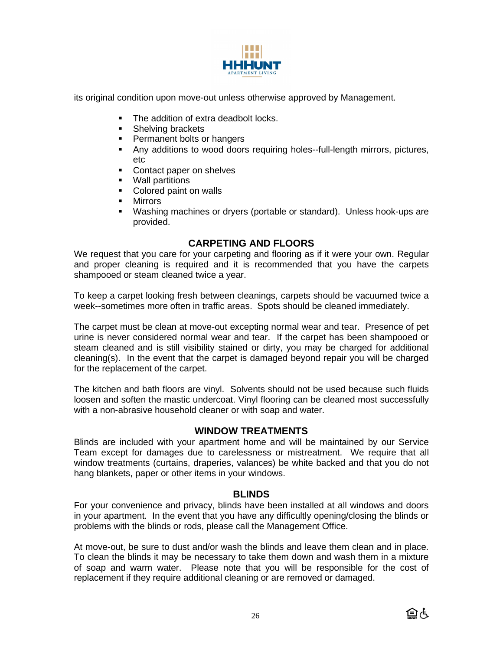

its original condition upon move-out unless otherwise approved by Management.

- The addition of extra deadbolt locks.
- **EXECUTE:** Shelving brackets
- Permanent bolts or hangers
- Any additions to wood doors requiring holes--full-length mirrors, pictures, etc
- Contact paper on shelves
- Wall partitions
- Colored paint on walls
- Mirrors
- Washing machines or dryers (portable or standard). Unless hook-ups are provided.

## **CARPETING AND FLOORS**

We request that you care for your carpeting and flooring as if it were your own. Regular and proper cleaning is required and it is recommended that you have the carpets shampooed or steam cleaned twice a year.

To keep a carpet looking fresh between cleanings, carpets should be vacuumed twice a week--sometimes more often in traffic areas. Spots should be cleaned immediately.

The carpet must be clean at move-out excepting normal wear and tear. Presence of pet urine is never considered normal wear and tear. If the carpet has been shampooed or steam cleaned and is still visibility stained or dirty, you may be charged for additional cleaning(s). In the event that the carpet is damaged beyond repair you will be charged for the replacement of the carpet.

The kitchen and bath floors are vinyl. Solvents should not be used because such fluids loosen and soften the mastic undercoat. Vinyl flooring can be cleaned most successfully with a non-abrasive household cleaner or with soap and water.

## **WINDOW TREATMENTS**

Blinds are included with your apartment home and will be maintained by our Service Team except for damages due to carelessness or mistreatment. We require that all window treatments (curtains, draperies, valances) be white backed and that you do not hang blankets, paper or other items in your windows.

#### **BLINDS**

For your convenience and privacy, blinds have been installed at all windows and doors in your apartment. In the event that you have any difficultly opening/closing the blinds or problems with the blinds or rods, please call the Management Office.

At move-out, be sure to dust and/or wash the blinds and leave them clean and in place. To clean the blinds it may be necessary to take them down and wash them in a mixture of soap and warm water. Please note that you will be responsible for the cost of replacement if they require additional cleaning or are removed or damaged.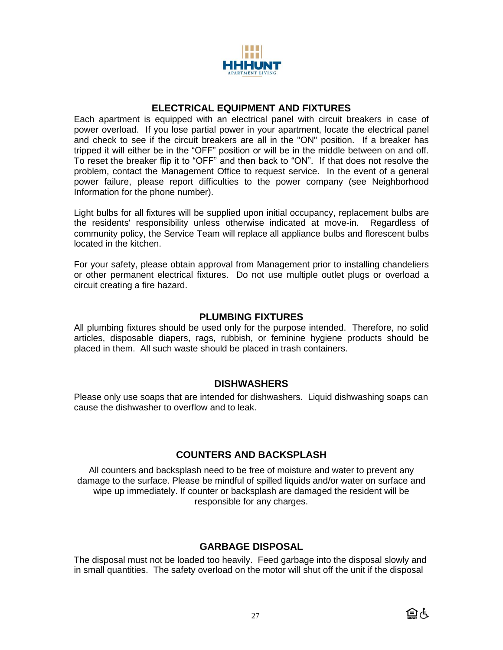

## **ELECTRICAL EQUIPMENT AND FIXTURES**

Each apartment is equipped with an electrical panel with circuit breakers in case of power overload. If you lose partial power in your apartment, locate the electrical panel and check to see if the circuit breakers are all in the "ON" position. If a breaker has tripped it will either be in the "OFF" position or will be in the middle between on and off. To reset the breaker flip it to "OFF" and then back to "ON". If that does not resolve the problem, contact the Management Office to request service. In the event of a general power failure, please report difficulties to the power company (see Neighborhood Information for the phone number).

Light bulbs for all fixtures will be supplied upon initial occupancy, replacement bulbs are the residents' responsibility unless otherwise indicated at move-in. Regardless of community policy, the Service Team will replace all appliance bulbs and florescent bulbs located in the kitchen.

For your safety, please obtain approval from Management prior to installing chandeliers or other permanent electrical fixtures. Do not use multiple outlet plugs or overload a circuit creating a fire hazard.

### **PLUMBING FIXTURES**

All plumbing fixtures should be used only for the purpose intended. Therefore, no solid articles, disposable diapers, rags, rubbish, or feminine hygiene products should be placed in them. All such waste should be placed in trash containers.

#### **DISHWASHERS**

Please only use soaps that are intended for dishwashers. Liquid dishwashing soaps can cause the dishwasher to overflow and to leak.

## **COUNTERS AND BACKSPLASH**

All counters and backsplash need to be free of moisture and water to prevent any damage to the surface. Please be mindful of spilled liquids and/or water on surface and wipe up immediately. If counter or backsplash are damaged the resident will be responsible for any charges.

## **GARBAGE DISPOSAL**

The disposal must not be loaded too heavily. Feed garbage into the disposal slowly and in small quantities. The safety overload on the motor will shut off the unit if the disposal

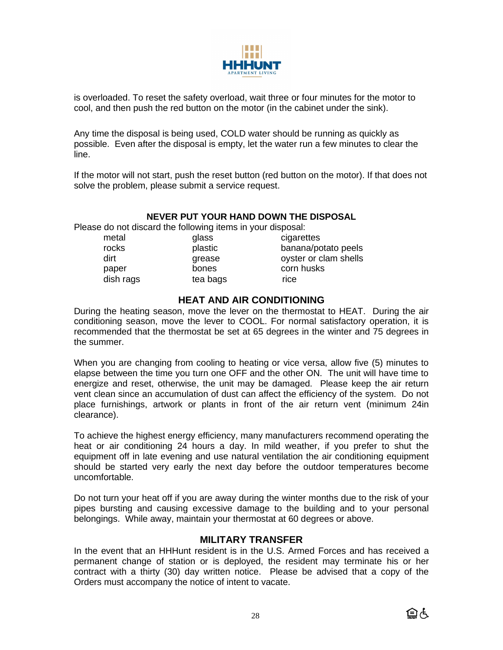

is overloaded. To reset the safety overload, wait three or four minutes for the motor to cool, and then push the red button on the motor (in the cabinet under the sink).

Any time the disposal is being used, COLD water should be running as quickly as possible. Even after the disposal is empty, let the water run a few minutes to clear the line.

If the motor will not start, push the reset button (red button on the motor). If that does not solve the problem, please submit a service request.

#### **NEVER PUT YOUR HAND DOWN THE DISPOSAL**

Please do not discard the following items in your disposal:

- dish rags bearbags by the bags of the rice
- 

metal glass cigarettes rocks plastic banana/potato peels dirt dirt grease ovster or clam shells paper bones corn husks

### **HEAT AND AIR CONDITIONING**

During the heating season, move the lever on the thermostat to HEAT. During the air conditioning season, move the lever to COOL. For normal satisfactory operation, it is recommended that the thermostat be set at 65 degrees in the winter and 75 degrees in the summer.

When you are changing from cooling to heating or vice versa, allow five (5) minutes to elapse between the time you turn one OFF and the other ON. The unit will have time to energize and reset, otherwise, the unit may be damaged. Please keep the air return vent clean since an accumulation of dust can affect the efficiency of the system. Do not place furnishings, artwork or plants in front of the air return vent (minimum 24in clearance).

To achieve the highest energy efficiency, many manufacturers recommend operating the heat or air conditioning 24 hours a day. In mild weather, if you prefer to shut the equipment off in late evening and use natural ventilation the air conditioning equipment should be started very early the next day before the outdoor temperatures become uncomfortable.

Do not turn your heat off if you are away during the winter months due to the risk of your pipes bursting and causing excessive damage to the building and to your personal belongings. While away, maintain your thermostat at 60 degrees or above.

#### **MILITARY TRANSFER**

In the event that an HHHunt resident is in the U.S. Armed Forces and has received a permanent change of station or is deployed, the resident may terminate his or her contract with a thirty (30) day written notice. Please be advised that a copy of the Orders must accompany the notice of intent to vacate.

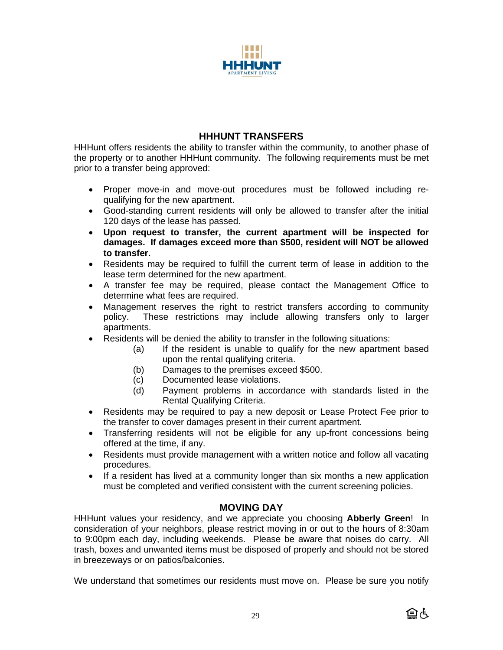

## **HHHUNT TRANSFERS**

HHHunt offers residents the ability to transfer within the community, to another phase of the property or to another HHHunt community. The following requirements must be met prior to a transfer being approved:

- Proper move-in and move-out procedures must be followed including requalifying for the new apartment.
- Good-standing current residents will only be allowed to transfer after the initial 120 days of the lease has passed.
- **Upon request to transfer, the current apartment will be inspected for damages. If damages exceed more than \$500, resident will NOT be allowed to transfer.**
- Residents may be required to fulfill the current term of lease in addition to the lease term determined for the new apartment.
- A transfer fee may be required, please contact the Management Office to determine what fees are required.
- Management reserves the right to restrict transfers according to community policy. These restrictions may include allowing transfers only to larger apartments.
- Residents will be denied the ability to transfer in the following situations:
	- (a) If the resident is unable to qualify for the new apartment based upon the rental qualifying criteria.
	- (b) Damages to the premises exceed \$500.
	- (c) Documented lease violations.
	- (d) Payment problems in accordance with standards listed in the Rental Qualifying Criteria.
- Residents may be required to pay a new deposit or Lease Protect Fee prior to the transfer to cover damages present in their current apartment.
- Transferring residents will not be eligible for any up-front concessions being offered at the time, if any.
- Residents must provide management with a written notice and follow all vacating procedures.
- If a resident has lived at a community longer than six months a new application must be completed and verified consistent with the current screening policies.

## **MOVING DAY**

HHHunt values your residency, and we appreciate you choosing **Abberly Green**! In consideration of your neighbors, please restrict moving in or out to the hours of 8:30am to 9:00pm each day, including weekends. Please be aware that noises do carry. All trash, boxes and unwanted items must be disposed of properly and should not be stored in breezeways or on patios/balconies.

We understand that sometimes our residents must move on. Please be sure you notify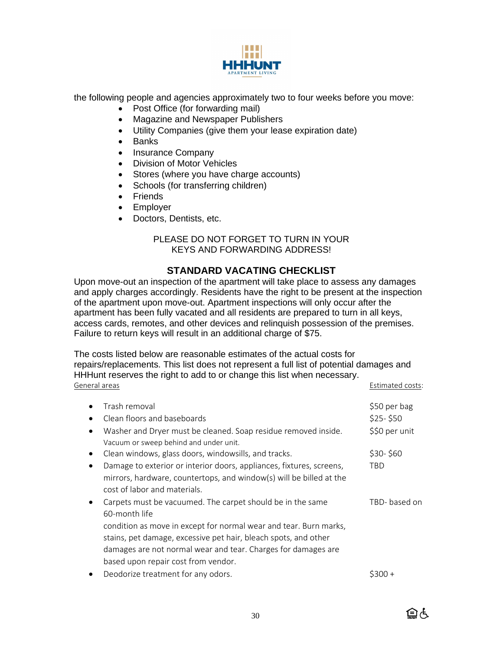

the following people and agencies approximately two to four weeks before you move:

- Post Office (for forwarding mail)
- Magazine and Newspaper Publishers
- Utility Companies (give them your lease expiration date)
- Banks
- Insurance Company
- Division of Motor Vehicles
- Stores (where you have charge accounts)
- Schools (for transferring children)
- Friends
- Employer
- Doctors, Dentists, etc.

#### PLEASE DO NOT FORGET TO TURN IN YOUR KEYS AND FORWARDING ADDRESS!

# **STANDARD VACATING CHECKLIST**

Upon move-out an inspection of the apartment will take place to assess any damages and apply charges accordingly. Residents have the right to be present at the inspection of the apartment upon move-out. Apartment inspections will only occur after the apartment has been fully vacated and all residents are prepared to turn in all keys, access cards, remotes, and other devices and relinquish possession of the premises. Failure to return keys will result in an additional charge of \$75.

The costs listed below are reasonable estimates of the actual costs for repairs/replacements. This list does not represent a full list of potential damages and HHHunt reserves the right to add to or change this list when necessary. General areas Estimated costs:

|           | TICI di di Cas                                                                                                                                                                                                      | LSUIHALEU CUSLS.    |
|-----------|---------------------------------------------------------------------------------------------------------------------------------------------------------------------------------------------------------------------|---------------------|
|           | Trash removal                                                                                                                                                                                                       | \$50 per bag        |
|           | Clean floors and baseboards                                                                                                                                                                                         | $$25-$50$           |
|           | Washer and Dryer must be cleaned. Soap residue removed inside.<br>Vacuum or sweep behind and under unit.                                                                                                            | \$\$0 per unit      |
| $\bullet$ | Clean windows, glass doors, windowsills, and tracks.                                                                                                                                                                | \$30-\$60           |
|           | Damage to exterior or interior doors, appliances, fixtures, screens,<br>mirrors, hardware, countertops, and window(s) will be billed at the<br>cost of labor and materials.                                         | TBD                 |
|           | Carpets must be vacuumed. The carpet should be in the same<br>60-month life<br>condition as move in except for normal wear and tear. Burn marks,<br>stains, pet damage, excessive pet hair, bleach spots, and other | TBD-based on        |
|           | damages are not normal wear and tear. Charges for damages are<br>based upon repair cost from vendor.                                                                                                                |                     |
|           |                                                                                                                                                                                                                     | $\pm$ $\sim$ $\sim$ |

erfield the treatment for any odors. The same state of the state of  $\frac{1}{2}300 +$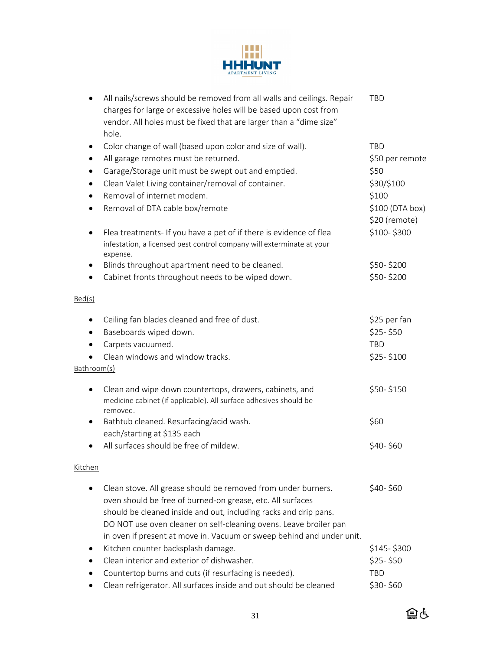

| $\bullet$              | All nails/screws should be removed from all walls and ceilings. Repair<br>charges for large or excessive holes will be based upon cost from<br>vendor. All holes must be fixed that are larger than a "dime size"<br>hole.                                                                                                                    | TBD                                                     |
|------------------------|-----------------------------------------------------------------------------------------------------------------------------------------------------------------------------------------------------------------------------------------------------------------------------------------------------------------------------------------------|---------------------------------------------------------|
| ٠<br>$\bullet$<br>٠    | Color change of wall (based upon color and size of wall).<br>All garage remotes must be returned.<br>Garage/Storage unit must be swept out and emptied.                                                                                                                                                                                       | <b>TBD</b><br>\$50 per remote<br>\$50                   |
| $\bullet$<br>$\bullet$ | Clean Valet Living container/removal of container.<br>Removal of internet modem.<br>Removal of DTA cable box/remote                                                                                                                                                                                                                           | \$30/\$100<br>\$100<br>\$100 (DTA box)<br>\$20 (remote) |
| $\bullet$              | Flea treatments- If you have a pet of if there is evidence of flea<br>infestation, a licensed pest control company will exterminate at your<br>expense.                                                                                                                                                                                       | \$100-\$300                                             |
| ٠<br>$\bullet$         | Blinds throughout apartment need to be cleaned.<br>Cabinet fronts throughout needs to be wiped down.                                                                                                                                                                                                                                          | \$50-\$200<br>\$50-\$200                                |
| Bed(s)                 |                                                                                                                                                                                                                                                                                                                                               |                                                         |
| ٠<br>$\bullet$<br>٠    | Ceiling fan blades cleaned and free of dust.<br>Baseboards wiped down.<br>Carpets vacuumed.                                                                                                                                                                                                                                                   | \$25 per fan<br>$$25-$50$<br><b>TBD</b>                 |
| Bathroom(s)            | Clean windows and window tracks.                                                                                                                                                                                                                                                                                                              | $$25-$100$                                              |
| ٠                      | Clean and wipe down countertops, drawers, cabinets, and<br>medicine cabinet (if applicable). All surface adhesives should be<br>removed.                                                                                                                                                                                                      | \$50-\$150                                              |
| ٠                      | Bathtub cleaned. Resurfacing/acid wash.<br>each/starting at \$135 each                                                                                                                                                                                                                                                                        | \$60                                                    |
|                        | All surfaces should be free of mildew.                                                                                                                                                                                                                                                                                                        | \$40-\$60                                               |
| <u>Kitchen</u>         |                                                                                                                                                                                                                                                                                                                                               |                                                         |
|                        | Clean stove. All grease should be removed from under burners.<br>oven should be free of burned-on grease, etc. All surfaces<br>should be cleaned inside and out, including racks and drip pans.<br>DO NOT use oven cleaner on self-cleaning ovens. Leave broiler pan<br>in oven if present at move in. Vacuum or sweep behind and under unit. | \$40-\$60                                               |
| ٠                      | Kitchen counter backsplash damage.<br>Clean interior and exterior of dishwasher.<br>Countertop burns and cuts (if resurfacing is needed).<br>Clean refrigerator. All surfaces inside and out should be cleaned                                                                                                                                | \$145-\$300<br>$$25-$50$<br><b>TBD</b><br>\$30-\$60     |